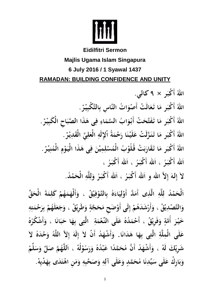

# **Eidilfitri Sermon Majlis Ugama Islam Singapura 6 July 2016 / 1 Syawal 1437 RAMADAN: BUILDING CONFIDENCE AND UNITY**

اللهُ أَكْبَر × ۹ كالي. اللَّهُ أَكْبَرِ مَا تَعَالَتْ أَصْوَاتُ النَّاسِ بِالتَّكْبِيْرْ . اللَّهُ أَكْبَر مَا تَفَتَّحَتْ أَبْوَابُ السَّمَاءِ فِى هَذَا الصَّبَاحِ الْكَبِيْرْ . اللَّهُ أَكْبَرِ مَا تَنَزَّلَتْ عَلَيْنَا رَحْمَةُ أَلِإِلَهِ الْعَلِيِّ الْقَدِيْرْ . اللَّهُ أَكْبَرِ مَا تَقَارَبَتْ قُلُوْبُ الْمُسْلِمِيْنَ فِي هَذَا الْيَوْمِ الْمُنِيْرْ . اَلله أَكْبَرُ ، اَلله أَكْبَرُ ، اَلله أَكْبَرُ ، لاَ إِلهَ إِلاَّ اللهِ وِ اَللهِ أَكْبَرُ ، اَلله أَكْبَرُ ۚ وَلِلَّهِ الْحَمْدُ.

اَلْحَمْدُ لِلَّهِ الَّذِى أَمَدَّ أَوْلِيَاءَهُ بِالتَّوْفِيْقْ ، وَأَلْهَمَهُمْ كَلِمَةَ الْحَقِّ وَالتَّصْدِيْقْ ، وَأَرْشَدَهُمْ إِلَى أَوْصَح مَحَجَّةٍ وَطَرِيْقْ ، وَجَعَلَهُمْ بِرَحْمَتِهِ خَيْرَ أُمَّةٍ وَفَرِيْقْ ، أَحْمَدُهُ عَلَى النِّعْمَةِ ۖ الَّتِي بِهَا حَبَانَا ، وَأَشْكُرُهُ عَلَى الْمِلَّةِ الَّتِي بِهَا هَدَانَا. وَأَشْهَدُ أَنْ لاَ إِلَهَ إِلاَّ اللَّهُ وَحْدَهُ لاَ شَرِيْكَ لَهْ ، وَأَشْهَدُ أَنَّ مُحَمَّدًا عَبْدُهُ وَرَسُوْلُهْ ، اَللَّهُمَّ صَلِّ وَسَلَّمْ وَبَارِكٌ عَلَى سَيِّدِنَا مُحَمَّدٍ وَعَلَى آلِهِ وَصَحْبِهِ وَمَن اهْتَدَى بِهَدْيِهْ.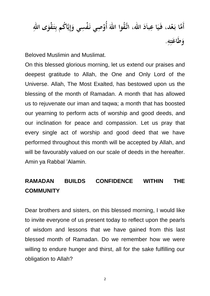أَمَّا بَعْد، فَيَا عِباَدَ الله، اتَّقُوا اللهَ أُوْصِي نَفْسِي وَإِيَّاكُم بِتَقْوَى اللهِ<br>وَطَاعَتِهِ.

Beloved Muslimin and Muslimat.

On this blessed glorious morning, let us extend our praises and deepest gratitude to Allah, the One and Only Lord of the Universe. Allah, The Most Exalted, has bestowed upon us the blessing of the month of Ramadan. A month that has allowed us to rejuvenate our iman and taqwa; a month that has boosted our yearning to perform acts of worship and good deeds, and our inclination for peace and compassion. Let us pray that every single act of worship and good deed that we have performed throughout this month will be accepted by Allah, and will be favourably valued on our scale of deeds in the hereafter. Amin ya Rabbal 'Alamin.

## **RAMADAN BUILDS CONFIDENCE WITHIN THE COMMUNITY**

Dear brothers and sisters, on this blessed morning, I would like to invite everyone of us present today to reflect upon the pearls of wisdom and lessons that we have gained from this last blessed month of Ramadan. Do we remember how we were willing to endure hunger and thirst, all for the sake fulfilling our obligation to Allah?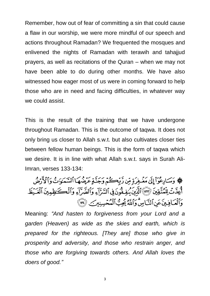Remember, how out of fear of committing a sin that could cause a flaw in our worship, we were more mindful of our speech and actions throughout Ramadan? We frequented the mosques and enlivened the nights of Ramadan with terawih and tahajjud prayers, as well as recitations of the Quran – when we may not have been able to do during other months. We have also witnessed how eager most of us were in coming forward to help those who are in need and facing difficulties, in whatever way we could assist.

This is the result of the training that we have undergone throughout Ramadan. This is the outcome of taqwa. It does not only bring us closer to Allah s.w.t. but also cultivates closer ties between fellow human beings. This is the form of taqwa which we desire. It is in line with what Allah s.w.t. says in Surah Ali-Imran, verses 133-134:

﴾ وَسَادِعُوٓاْ إِلَىٰ مَغۡفِرَةٍ مِّن رَّبِّكُمۡ وَجَنَّةٍ عَرَضُهَا ٱلسَّمَٰوَاتُ وَٱلْأَرْضُ أَعِدَّتْ لِلْمُتَّقِينَ (٣٣) ٱلَّذِينَ يُنِفِقُونَ فِي ٱلسَّرَّآءِ وَٱلضَّرَّآءِ وَٱلْكَنظِمِينَ ٱلْعَيْظ وَٱلْعَافِينَ عَنِ ٱلنَّاسِّ وَٱللَّهُ يُحِبُّ ٱلْمُعۡسِنِينَ ۚ (٣٤

Meaning: *"And hasten to forgiveness from your Lord and a garden (Heaven) as wide as the skies and earth, which is prepared for the righteous. [They are] those who give in prosperity and adversity, and those who restrain anger, and those who are forgiving towards others. And Allah loves the doers of good."*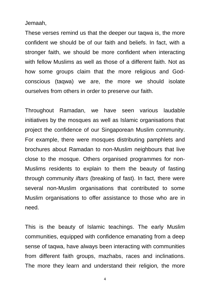Jemaah,

These verses remind us that the deeper our taqwa is, the more confident we should be of our faith and beliefs. In fact, with a stronger faith, we should be more confident when interacting with fellow Muslims as well as those of a different faith. Not as how some groups claim that the more religious and Godconscious (taqwa) we are, the more we should isolate ourselves from others in order to preserve our faith.

Throughout Ramadan, we have seen various laudable initiatives by the mosques as well as Islamic organisations that project the confidence of our Singaporean Muslim community. For example, there were mosques distributing pamphlets and brochures about Ramadan to non-Muslim neighbours that live close to the mosque. Others organised programmes for non-Muslims residents to explain to them the beauty of fasting through community *iftars* (breaking of fast). In fact, there were several non-Muslim organisations that contributed to some Muslim organisations to offer assistance to those who are in need.

This is the beauty of Islamic teachings. The early Muslim communities, equipped with confidence emanating from a deep sense of taqwa, have always been interacting with communities from different faith groups, mazhabs, races and inclinations. The more they learn and understand their religion*,* the more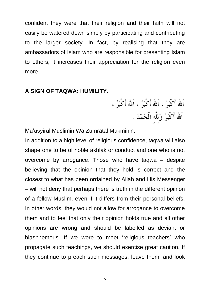confident they were that their religion and their faith will not easily be watered down simply by participating and contributing to the larger society. In fact, by realising that they are ambassadors of Islam who are responsible for presenting Islam to others, it increases their appreciation for the religion even more.

#### **A SIGN OF TAQWA: HUMILITY.**

اَلله أَكْبَرُ ، اَلله أَكْبَرُ ، اَلله أَكْبَرُ ، اَلله أَكْبَرُ وَلِلَّهِ الْحَمْدُ .

Ma'asyiral Muslimin Wa Zumratal Mukminin,

In addition to a high level of religious confidence, taqwa will also shape one to be of noble akhlak or conduct and one who is not overcome by arrogance. Those who have taqwa – despite believing that the opinion that they hold is correct and the closest to what has been ordained by Allah and His Messenger – will not deny that perhaps there is truth in the different opinion of a fellow Muslim, even if it differs from their personal beliefs. In other words, they would not allow for arrogance to overcome them and to feel that only their opinion holds true and all other opinions are wrong and should be labelled as deviant or blasphemous. If we were to meet 'religious teachers' who propagate such teachings, we should exercise great caution. If they continue to preach such messages, leave them, and look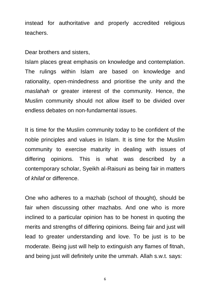instead for authoritative and properly accredited religious teachers.

Dear brothers and sisters,

Islam places great emphasis on knowledge and contemplation. The rulings within Islam are based on knowledge and rationality, open-mindedness and prioritise the unity and the *maslahah* or greater interest of the community. Hence, the Muslim community should not allow itself to be divided over endless debates on non-fundamental issues.

It is time for the Muslim community today to be confident of the noble principles and values in Islam. It is time for the Muslim community to exercise maturity in dealing with issues of differing opinions. This is what was described by a contemporary scholar, Syeikh al-Raisuni as being fair in matters of *khilaf* or difference.

One who adheres to a mazhab (school of thought), should be fair when discussing other mazhabs. And one who is more inclined to a particular opinion has to be honest in quoting the merits and strengths of differing opinions. Being fair and just will lead to greater understanding and love. To be just is to be moderate. Being just will help to extinguish any flames of fitnah, and being just will definitely unite the ummah. Allah s.w.t. says: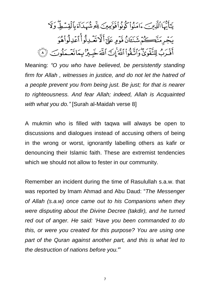يَتَأَيُّهَا ٱلَّذِينَ ءَامَنُواْ كُونُواْ قَوَّبِهِينَ لِلَّهِ شُهَدَاَءَ بِٱلْقِسَطِّ وَلَا يَجْرِمَنَّڪُمَّ شَنَـَٗانُ قَوَمٍ عَلَيَّ أَلَّا تَعۡـٰذِلُواْ أَعۡذِلُواْهُوَ أَقَدَبُ لِلتَّفَوَىٰٓ وَٱتَّقُواْ ٱللَّهَ إِنَّ ٱللَّهَ خَبِيرٌ بِمَاتَعَـمَلُوبَ ۞

Meaning: *"O you who have believed, be persistently standing firm for Allah , witnesses in justice, and do not let the hatred of a people prevent you from being just. Be just; for that is nearer to righteousness. And fear Allah; indeed, Allah is Acquainted with what you do."* [Surah al-Maidah verse 8]

A mukmin who is filled with taqwa will always be open to discussions and dialogues instead of accusing others of being in the wrong or worst, ignorantly labelling others as kafir or denouncing their Islamic faith. These are extremist tendencies which we should not allow to fester in our community.

Remember an incident during the time of Rasulullah s.a.w. that was reported by Imam Ahmad and Abu Daud: "*The Messenger of Allah (s.a.w) once came out to his Companions when they were disputing about the Divine Decree (takdir), and he turned red out of anger. He said: 'Have you been commanded to do this, or were you created for this purpose? You are using one part of the Quran against another part, and this is what led to the destruction of nations before you.*'"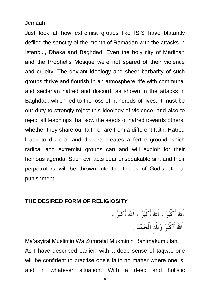Jemaah,

Just look at how extremist groups like ISIS have blatantly defiled the sanctity of the month of Ramadan with the attacks in Istanbul, Dhaka and Baghdad. Even the holy city of Madinah and the Prophet's Mosque were not spared of their violence and cruelty. The deviant ideology and sheer barbarity of such groups thrive and flourish in an atmosphere rife with communal and sectarian hatred and discord, as shown in the attacks in Baghdad, which led to the loss of hundreds of lives. It must be our duty to strongly reject this ideology of violence, and also to reject all teachings that sow the seeds of hatred towards others, whether they share our faith or are from a different faith. Hatred leads to discord, and discord creates a fertile ground which radical and extremist groups can and will exploit for their heinous agenda. Such evil acts bear unspeakable sin, and their perpetrators will be thrown into the throes of God's eternal punishment.

#### **THE DESIRED FORM OF RELIGIOSITY**

اَلله أَكْبَرُ ، اَلله أَكْبَرُ ، اَلله أَكْبَرُ ، اَلله أَكْبَرُ وَللَّه الْحَمْدُ .

Ma'asyiral Muslimin Wa Zumratal Mukminin Rahimakumullah, As I have described earlier, with a deep sense of taqwa, one will be confident to practise one's faith no matter where one is, and in whatever situation. With a deep and holistic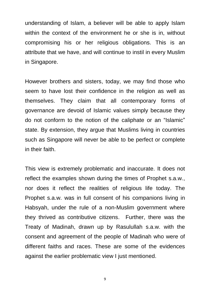understanding of Islam, a believer will be able to apply Islam within the context of the environment he or she is in, without compromising his or her religious obligations. This is an attribute that we have, and will continue to instil in every Muslim in Singapore.

However brothers and sisters, today, we may find those who seem to have lost their confidence in the religion as well as themselves. They claim that all contemporary forms of governance are devoid of Islamic values simply because they do not conform to the notion of the caliphate or an "Islamic" state. By extension, they argue that Muslims living in countries such as Singapore will never be able to be perfect or complete in their faith.

This view is extremely problematic and inaccurate. It does not reflect the examples shown during the times of Prophet s.a.w., nor does it reflect the realities of religious life today. The Prophet s.a.w. was in full consent of his companions living in Habsyah, under the rule of a non-Muslim government where they thrived as contributive citizens. Further, there was the Treaty of Madinah, drawn up by Rasulullah s.a.w. with the consent and agreement of the people of Madinah who were of different faiths and races. These are some of the evidences against the earlier problematic view I just mentioned.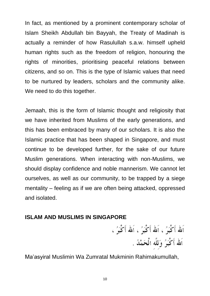In fact, as mentioned by a prominent contemporary scholar of Islam Sheikh Abdullah bin Bayyah, the Treaty of Madinah is actually a reminder of how Rasulullah s.a.w. himself upheld human rights such as the freedom of religion, honouring the rights of minorities, prioritising peaceful relations between citizens, and so on. This is the type of Islamic values that need to be nurtured by leaders, scholars and the community alike. We need to do this together.

Jemaah, this is the form of Islamic thought and religiosity that we have inherited from Muslims of the early generations, and this has been embraced by many of our scholars. It is also the Islamic practice that has been shaped in Singapore, and must continue to be developed further, for the sake of our future Muslim generations. When interacting with non-Muslims, we should display confidence and noble mannerism. We cannot let ourselves, as well as our community, to be trapped by a siege mentality – feeling as if we are often being attacked, oppressed and isolated.

### **ISLAM AND MUSLIMS IN SINGAPORE**

اَلله أَكْبَرُ ، اَلله أَكْبَرُ ، اَلله أَكْبَرُ ، اَلله أَكْبَرُ وَلِلَّهِ الْحَمْدُ .

Ma'asyiral Muslimin Wa Zumratal Mukminin Rahimakumullah,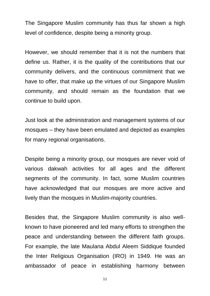The Singapore Muslim community has thus far shown a high level of confidence, despite being a minority group.

However, we should remember that it is not the numbers that define us. Rather, it is the quality of the contributions that our community delivers, and the continuous commitment that we have to offer, that make up the virtues of our Singapore Muslim community, and should remain as the foundation that we continue to build upon.

Just look at the administration and management systems of our mosques – they have been emulated and depicted as examples for many regional organisations.

Despite being a minority group, our mosques are never void of various dakwah activities for all ages and the different segments of the community. In fact, some Muslim countries have acknowledged that our mosques are more active and lively than the mosques in Muslim-majority countries.

Besides that, the Singapore Muslim community is also wellknown to have pioneered and led many efforts to strengthen the peace and understanding between the different faith groups. For example, the late Maulana Abdul Aleem Siddique founded the Inter Religious Organisation (IRO) in 1949. He was an ambassador of peace in establishing harmony between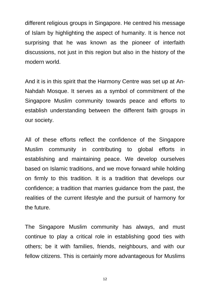different religious groups in Singapore. He centred his message of Islam by highlighting the aspect of humanity. It is hence not surprising that he was known as the pioneer of interfaith discussions, not just in this region but also in the history of the modern world.

And it is in this spirit that the Harmony Centre was set up at An-Nahdah Mosque. It serves as a symbol of commitment of the Singapore Muslim community towards peace and efforts to establish understanding between the different faith groups in our society.

All of these efforts reflect the confidence of the Singapore Muslim community in contributing to global efforts in establishing and maintaining peace. We develop ourselves based on Islamic traditions, and we move forward while holding on firmly to this tradition. It is a tradition that develops our confidence; a tradition that marries guidance from the past, the realities of the current lifestyle and the pursuit of harmony for the future.

The Singapore Muslim community has always, and must continue to play a critical role in establishing good ties with others; be it with families, friends, neighbours, and with our fellow citizens. This is certainly more advantageous for Muslims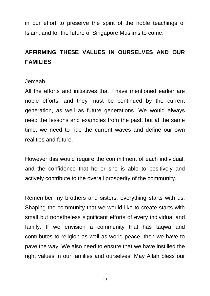in our effort to preserve the spirit of the noble teachings of Islam, and for the future of Singapore Muslims to come.

## **AFFIRMING THESE VALUES IN OURSELVES AND OUR FAMILIES**

Jemaah,

All the efforts and initiatives that I have mentioned earlier are noble efforts, and they must be continued by the current generation, as well as future generations. We would always need the lessons and examples from the past, but at the same time, we need to ride the current waves and define our own realities and future.

However this would require the commitment of each individual, and the confidence that he or she is able to positively and actively contribute to the overall prosperity of the community.

Remember my brothers and sisters, everything starts with us. Shaping the community that we would like to create starts with small but nonetheless significant efforts of every individual and family. If we envision a community that has taqwa and contributes to religion as well as world peace, then we have to pave the way. We also need to ensure that we have instilled the right values in our families and ourselves. May Allah bless our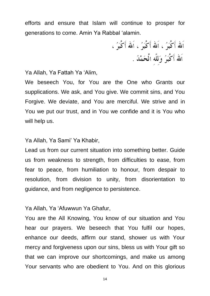efforts and ensure that Islam will continue to prosper for generations to come. Amin Ya Rabbal 'alamin.

Ya Allah, Ya Fattah Ya 'Alim,

We beseech You, for You are the One who Grants our supplications. We ask, and You give. We commit sins, and You Forgive. We deviate, and You are merciful. We strive and in You we put our trust, and in You we confide and it is You who will help us.

Ya Allah, Ya Sami' Ya Khabir,

Lead us from our current situation into something better. Guide us from weakness to strength, from difficulties to ease, from fear to peace, from humiliation to honour, from despair to resolution, from division to unity, from disorientation to guidance, and from negligence to persistence.

Ya Allah, Ya 'Afuwwun Ya Ghafur,

You are the All Knowing, You know of our situation and You hear our prayers. We beseech that You fulfil our hopes, enhance our deeds, affirm our stand, shower us with Your mercy and forgiveness upon our sins, bless us with Your gift so that we can improve our shortcomings, and make us among Your servants who are obedient to You. And on this glorious